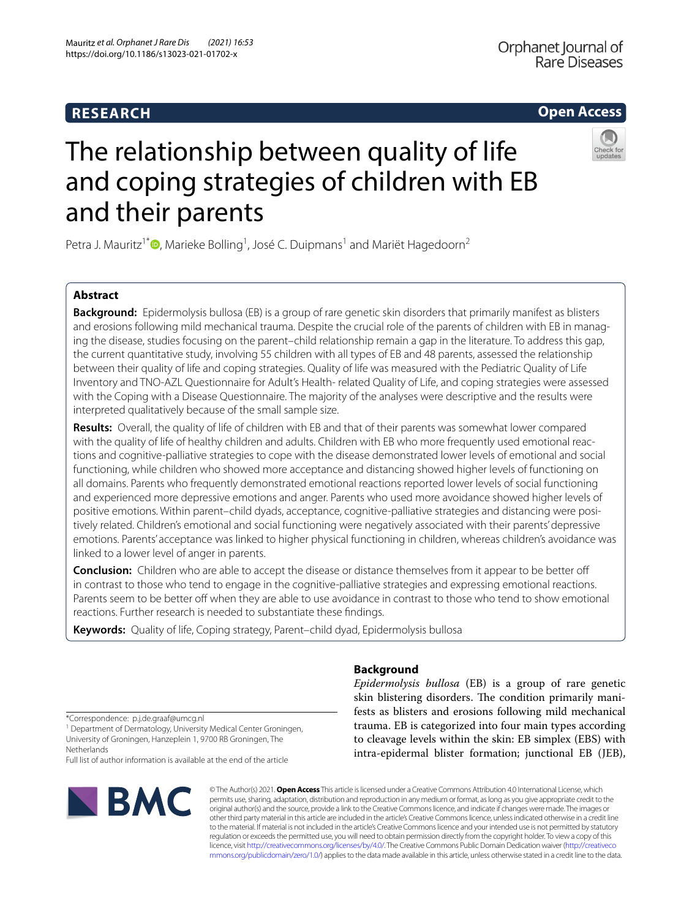# **RESEARCH**

# **Open Access**



# The relationship between quality of life and coping strategies of children with EB and their parents

Petra J. Mauritz<sup>1\*</sup><sup>®</sup>[,](http://orcid.org/0000-0002-2752-3616) Marieke Bolling<sup>1</sup>, José C. Duipmans<sup>1</sup> and Mariët Hagedoorn<sup>2</sup>

# **Abstract**

**Background:** Epidermolysis bullosa (EB) is a group of rare genetic skin disorders that primarily manifest as blisters and erosions following mild mechanical trauma. Despite the crucial role of the parents of children with EB in managing the disease, studies focusing on the parent–child relationship remain a gap in the literature. To address this gap, the current quantitative study, involving 55 children with all types of EB and 48 parents, assessed the relationship between their quality of life and coping strategies. Quality of life was measured with the Pediatric Quality of Life Inventory and TNO-AZL Questionnaire for Adult's Health- related Quality of Life, and coping strategies were assessed with the Coping with a Disease Questionnaire. The majority of the analyses were descriptive and the results were interpreted qualitatively because of the small sample size.

**Results:** Overall, the quality of life of children with EB and that of their parents was somewhat lower compared with the quality of life of healthy children and adults. Children with EB who more frequently used emotional reactions and cognitive-palliative strategies to cope with the disease demonstrated lower levels of emotional and social functioning, while children who showed more acceptance and distancing showed higher levels of functioning on all domains. Parents who frequently demonstrated emotional reactions reported lower levels of social functioning and experienced more depressive emotions and anger. Parents who used more avoidance showed higher levels of positive emotions. Within parent–child dyads, acceptance, cognitive-palliative strategies and distancing were positively related. Children's emotional and social functioning were negatively associated with their parents' depressive emotions. Parents' acceptance was linked to higher physical functioning in children, whereas children's avoidance was linked to a lower level of anger in parents.

**Conclusion:** Children who are able to accept the disease or distance themselves from it appear to be better off in contrast to those who tend to engage in the cognitive-palliative strategies and expressing emotional reactions. Parents seem to be better off when they are able to use avoidance in contrast to those who tend to show emotional reactions. Further research is needed to substantiate these fndings.

**Keywords:** Quality of life, Coping strategy, Parent–child dyad, Epidermolysis bullosa

# **Background**

*Epidermolysis bullosa* (EB) is a group of rare genetic skin blistering disorders. The condition primarily manifests as blisters and erosions following mild mechanical trauma. EB is categorized into four main types according to cleavage levels within the skin: EB simplex (EBS) with intra-epidermal blister formation; junctional EB (JEB),

\*Correspondence: p.j.de.graaf@umcg.nl

<sup>1</sup> Department of Dermatology, University Medical Center Groningen, University of Groningen, Hanzeplein 1, 9700 RB Groningen, The Netherlands

Full list of author information is available at the end of the article



© The Author(s) 2021. **Open Access** This article is licensed under a Creative Commons Attribution 4.0 International License, which permits use, sharing, adaptation, distribution and reproduction in any medium or format, as long as you give appropriate credit to the original author(s) and the source, provide a link to the Creative Commons licence, and indicate if changes were made. The images or other third party material in this article are included in the article's Creative Commons licence, unless indicated otherwise in a credit line to the material. If material is not included in the article's Creative Commons licence and your intended use is not permitted by statutory regulation or exceeds the permitted use, you will need to obtain permission directly from the copyright holder. To view a copy of this licence, visit [http://creativecommons.org/licenses/by/4.0/.](http://creativecommons.org/licenses/by/4.0/) The Creative Commons Public Domain Dedication waiver ([http://creativeco](http://creativecommons.org/publicdomain/zero/1.0/) [mmons.org/publicdomain/zero/1.0/](http://creativecommons.org/publicdomain/zero/1.0/)) applies to the data made available in this article, unless otherwise stated in a credit line to the data.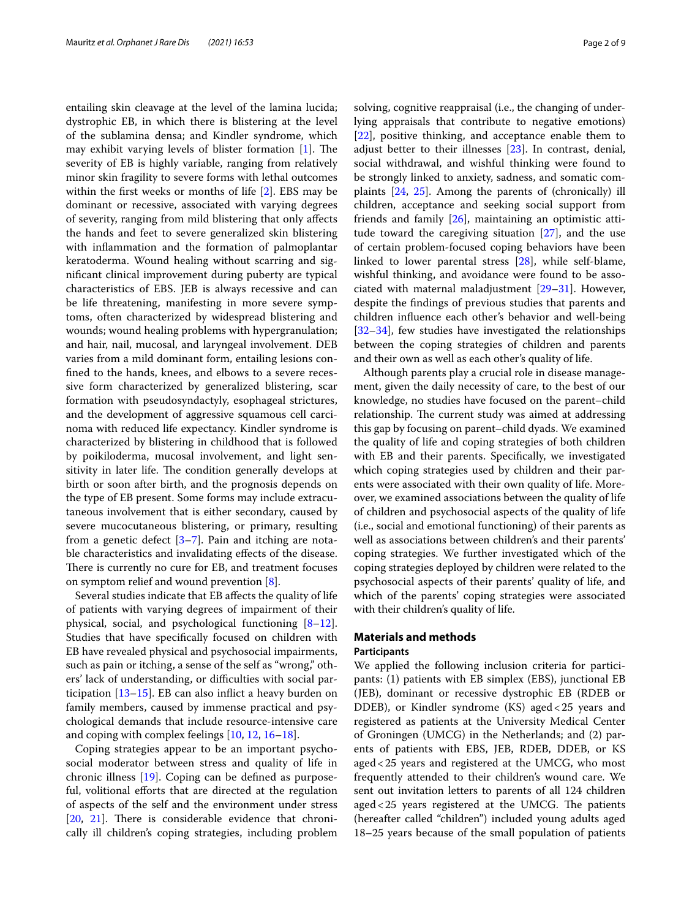entailing skin cleavage at the level of the lamina lucida; dystrophic EB, in which there is blistering at the level of the sublamina densa; and Kindler syndrome, which may exhibit varying levels of blister formation  $[1]$  $[1]$ . The severity of EB is highly variable, ranging from relatively minor skin fragility to severe forms with lethal outcomes within the frst weeks or months of life [\[2\]](#page-7-1). EBS may be dominant or recessive, associated with varying degrees of severity, ranging from mild blistering that only afects the hands and feet to severe generalized skin blistering with infammation and the formation of palmoplantar keratoderma. Wound healing without scarring and signifcant clinical improvement during puberty are typical characteristics of EBS. JEB is always recessive and can be life threatening, manifesting in more severe symptoms, often characterized by widespread blistering and wounds; wound healing problems with hypergranulation; and hair, nail, mucosal, and laryngeal involvement. DEB varies from a mild dominant form, entailing lesions confned to the hands, knees, and elbows to a severe recessive form characterized by generalized blistering, scar formation with pseudosyndactyly, esophageal strictures, and the development of aggressive squamous cell carcinoma with reduced life expectancy. Kindler syndrome is characterized by blistering in childhood that is followed by poikiloderma, mucosal involvement, and light sensitivity in later life. The condition generally develops at birth or soon after birth, and the prognosis depends on the type of EB present. Some forms may include extracutaneous involvement that is either secondary, caused by severe mucocutaneous blistering, or primary, resulting from a genetic defect  $[3-7]$  $[3-7]$  $[3-7]$ . Pain and itching are notable characteristics and invalidating efects of the disease. There is currently no cure for EB, and treatment focuses on symptom relief and wound prevention [\[8](#page-7-4)].

Several studies indicate that EB afects the quality of life of patients with varying degrees of impairment of their physical, social, and psychological functioning [\[8](#page-7-4)[–12](#page-8-0)]. Studies that have specifcally focused on children with EB have revealed physical and psychosocial impairments, such as pain or itching, a sense of the self as "wrong," others' lack of understanding, or difficulties with social participation [\[13–](#page-8-1)[15\]](#page-8-2). EB can also infict a heavy burden on family members, caused by immense practical and psychological demands that include resource-intensive care and coping with complex feelings [\[10](#page-8-3), [12](#page-8-0), [16–](#page-8-4)[18\]](#page-8-5).

Coping strategies appear to be an important psychosocial moderator between stress and quality of life in chronic illness [[19](#page-8-6)]. Coping can be defned as purposeful, volitional efforts that are directed at the regulation of aspects of the self and the environment under stress  $[20, 21]$  $[20, 21]$  $[20, 21]$  $[20, 21]$  $[20, 21]$ . There is considerable evidence that chronically ill children's coping strategies, including problem solving, cognitive reappraisal (i.e., the changing of underlying appraisals that contribute to negative emotions) [[22\]](#page-8-9), positive thinking, and acceptance enable them to adjust better to their illnesses [\[23\]](#page-8-10). In contrast, denial, social withdrawal, and wishful thinking were found to be strongly linked to anxiety, sadness, and somatic complaints [[24,](#page-8-11) [25\]](#page-8-12). Among the parents of (chronically) ill children, acceptance and seeking social support from friends and family [\[26](#page-8-13)], maintaining an optimistic attitude toward the caregiving situation [\[27\]](#page-8-14), and the use of certain problem-focused coping behaviors have been linked to lower parental stress [[28](#page-8-15)], while self-blame, wishful thinking, and avoidance were found to be associated with maternal maladjustment [[29–](#page-8-16)[31\]](#page-8-17). However, despite the fndings of previous studies that parents and children infuence each other's behavior and well-being [[32–](#page-8-18)[34\]](#page-8-19), few studies have investigated the relationships between the coping strategies of children and parents and their own as well as each other's quality of life.

Although parents play a crucial role in disease management, given the daily necessity of care, to the best of our knowledge, no studies have focused on the parent–child relationship. The current study was aimed at addressing this gap by focusing on parent–child dyads. We examined the quality of life and coping strategies of both children with EB and their parents. Specifcally, we investigated which coping strategies used by children and their parents were associated with their own quality of life. Moreover, we examined associations between the quality of life of children and psychosocial aspects of the quality of life (i.e., social and emotional functioning) of their parents as well as associations between children's and their parents' coping strategies. We further investigated which of the coping strategies deployed by children were related to the psychosocial aspects of their parents' quality of life, and which of the parents' coping strategies were associated with their children's quality of life.

# <span id="page-1-0"></span>**Materials and methods**

#### **Participants**

We applied the following inclusion criteria for participants: (1) patients with EB simplex (EBS), junctional EB (JEB), dominant or recessive dystrophic EB (RDEB or DDEB), or Kindler syndrome (KS) aged<25 years and registered as patients at the University Medical Center of Groningen (UMCG) in the Netherlands; and (2) parents of patients with EBS, JEB, RDEB, DDEB, or KS aged<25 years and registered at the UMCG, who most frequently attended to their children's wound care. We sent out invitation letters to parents of all 124 children  $aged < 25$  years registered at the UMCG. The patients (hereafter called "children") included young adults aged 18–25 years because of the small population of patients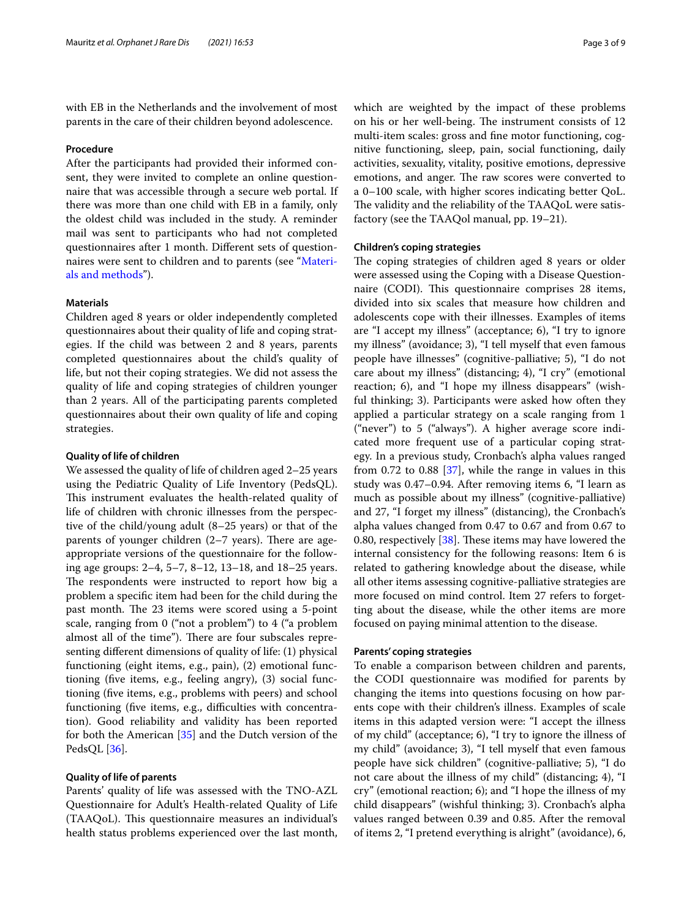with EB in the Netherlands and the involvement of most parents in the care of their children beyond adolescence.

#### **Procedure**

After the participants had provided their informed consent, they were invited to complete an online questionnaire that was accessible through a secure web portal. If there was more than one child with EB in a family, only the oldest child was included in the study. A reminder mail was sent to participants who had not completed questionnaires after 1 month. Diferent sets of questionnaires were sent to children and to parents (see ["Materi](#page-1-0)[als and methods](#page-1-0)").

# **Materials**

Children aged 8 years or older independently completed questionnaires about their quality of life and coping strategies. If the child was between 2 and 8 years, parents completed questionnaires about the child's quality of life, but not their coping strategies. We did not assess the quality of life and coping strategies of children younger than 2 years. All of the participating parents completed questionnaires about their own quality of life and coping strategies.

#### **Quality of life of children**

We assessed the quality of life of children aged 2–25 years using the Pediatric Quality of Life Inventory (PedsQL). This instrument evaluates the health-related quality of life of children with chronic illnesses from the perspective of the child/young adult (8–25 years) or that of the parents of younger children  $(2-7 \text{ years})$ . There are ageappropriate versions of the questionnaire for the following age groups: 2–4, 5–7, 8–12, 13–18, and 18–25 years. The respondents were instructed to report how big a problem a specifc item had been for the child during the past month. The 23 items were scored using a 5-point scale, ranging from 0 ("not a problem") to 4 ("a problem almost all of the time"). There are four subscales representing diferent dimensions of quality of life: (1) physical functioning (eight items, e.g., pain), (2) emotional functioning (fve items, e.g., feeling angry), (3) social functioning (fve items, e.g., problems with peers) and school functioning (five items, e.g., difficulties with concentration). Good reliability and validity has been reported for both the American [[35](#page-8-20)] and the Dutch version of the PedsQL [\[36](#page-8-21)].

## **Quality of life of parents**

Parents' quality of life was assessed with the TNO-AZL Questionnaire for Adult's Health-related Quality of Life (TAAQoL). This questionnaire measures an individual's health status problems experienced over the last month, which are weighted by the impact of these problems on his or her well-being. The instrument consists of 12 multi-item scales: gross and fne motor functioning, cognitive functioning, sleep, pain, social functioning, daily activities, sexuality, vitality, positive emotions, depressive emotions, and anger. The raw scores were converted to a 0–100 scale, with higher scores indicating better QoL. The validity and the reliability of the TAAQoL were satisfactory (see the TAAQol manual, pp. 19–21).

### **Children's coping strategies**

The coping strategies of children aged 8 years or older were assessed using the Coping with a Disease Questionnaire (CODI). This questionnaire comprises 28 items, divided into six scales that measure how children and adolescents cope with their illnesses. Examples of items are "I accept my illness" (acceptance; 6), "I try to ignore my illness" (avoidance; 3), "I tell myself that even famous people have illnesses" (cognitive-palliative; 5), "I do not care about my illness" (distancing; 4), "I cry" (emotional reaction; 6), and "I hope my illness disappears" (wishful thinking; 3). Participants were asked how often they applied a particular strategy on a scale ranging from 1 ("never") to 5 ("always"). A higher average score indicated more frequent use of a particular coping strategy. In a previous study, Cronbach's alpha values ranged from  $0.72$  to  $0.88$  [ $37$ ], while the range in values in this study was 0.47–0.94. After removing items 6, "I learn as much as possible about my illness" (cognitive-palliative) and 27, "I forget my illness" (distancing), the Cronbach's alpha values changed from 0.47 to 0.67 and from 0.67 to 0.80, respectively  $[38]$  $[38]$  $[38]$ . These items may have lowered the internal consistency for the following reasons: Item 6 is related to gathering knowledge about the disease, while all other items assessing cognitive-palliative strategies are more focused on mind control. Item 27 refers to forgetting about the disease, while the other items are more focused on paying minimal attention to the disease.

#### **Parents' coping strategies**

To enable a comparison between children and parents, the CODI questionnaire was modifed for parents by changing the items into questions focusing on how parents cope with their children's illness. Examples of scale items in this adapted version were: "I accept the illness of my child" (acceptance; 6), "I try to ignore the illness of my child" (avoidance; 3), "I tell myself that even famous people have sick children" (cognitive-palliative; 5), "I do not care about the illness of my child" (distancing; 4), "I cry" (emotional reaction; 6); and "I hope the illness of my child disappears" (wishful thinking; 3). Cronbach's alpha values ranged between 0.39 and 0.85. After the removal of items 2, "I pretend everything is alright" (avoidance), 6,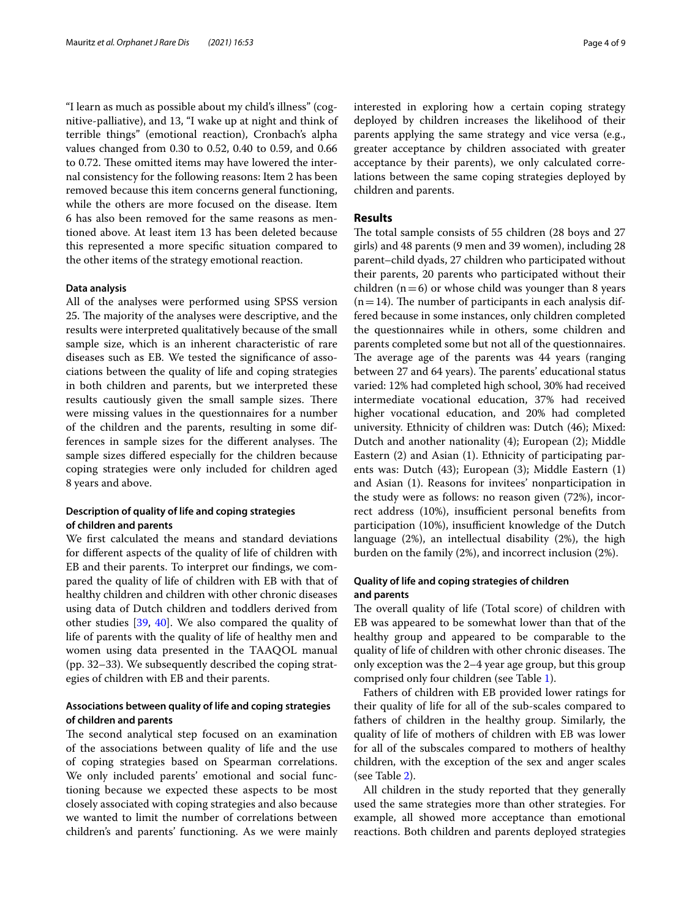"I learn as much as possible about my child's illness" (cognitive-palliative), and 13, "I wake up at night and think of terrible things" (emotional reaction), Cronbach's alpha values changed from 0.30 to 0.52, 0.40 to 0.59, and 0.66 to 0.72. These omitted items may have lowered the internal consistency for the following reasons: Item 2 has been removed because this item concerns general functioning, while the others are more focused on the disease. Item 6 has also been removed for the same reasons as mentioned above. At least item 13 has been deleted because this represented a more specifc situation compared to the other items of the strategy emotional reaction.

## **Data analysis**

All of the analyses were performed using SPSS version 25. The majority of the analyses were descriptive, and the results were interpreted qualitatively because of the small sample size, which is an inherent characteristic of rare diseases such as EB. We tested the signifcance of associations between the quality of life and coping strategies in both children and parents, but we interpreted these results cautiously given the small sample sizes. There were missing values in the questionnaires for a number of the children and the parents, resulting in some differences in sample sizes for the different analyses. The sample sizes difered especially for the children because coping strategies were only included for children aged 8 years and above.

# **Description of quality of life and coping strategies of children and parents**

We frst calculated the means and standard deviations for diferent aspects of the quality of life of children with EB and their parents. To interpret our fndings, we compared the quality of life of children with EB with that of healthy children and children with other chronic diseases using data of Dutch children and toddlers derived from other studies [[39,](#page-8-24) [40](#page-8-25)]. We also compared the quality of life of parents with the quality of life of healthy men and women using data presented in the TAAQOL manual (pp. 32–33). We subsequently described the coping strategies of children with EB and their parents.

# **Associations between quality of life and coping strategies of children and parents**

The second analytical step focused on an examination of the associations between quality of life and the use of coping strategies based on Spearman correlations. We only included parents' emotional and social functioning because we expected these aspects to be most closely associated with coping strategies and also because we wanted to limit the number of correlations between children's and parents' functioning. As we were mainly interested in exploring how a certain coping strategy deployed by children increases the likelihood of their parents applying the same strategy and vice versa (e.g., greater acceptance by children associated with greater acceptance by their parents), we only calculated correlations between the same coping strategies deployed by children and parents.

#### **Results**

The total sample consists of 55 children (28 boys and 27 girls) and 48 parents (9 men and 39 women), including 28 parent–child dyads, 27 children who participated without their parents, 20 parents who participated without their children  $(n=6)$  or whose child was younger than 8 years  $(n=14)$ . The number of participants in each analysis differed because in some instances, only children completed the questionnaires while in others, some children and parents completed some but not all of the questionnaires. The average age of the parents was 44 years (ranging between 27 and 64 years). The parents' educational status varied: 12% had completed high school, 30% had received intermediate vocational education, 37% had received higher vocational education, and 20% had completed university. Ethnicity of children was: Dutch (46); Mixed: Dutch and another nationality (4); European (2); Middle Eastern (2) and Asian (1). Ethnicity of participating parents was: Dutch (43); European (3); Middle Eastern (1) and Asian (1). Reasons for invitees' nonparticipation in the study were as follows: no reason given (72%), incorrect address (10%), insufficient personal benefits from participation (10%), insufficient knowledge of the Dutch language (2%), an intellectual disability (2%), the high burden on the family (2%), and incorrect inclusion (2%).

# **Quality of life and coping strategies of children and parents**

The overall quality of life (Total score) of children with EB was appeared to be somewhat lower than that of the healthy group and appeared to be comparable to the quality of life of children with other chronic diseases. The only exception was the 2–4 year age group, but this group comprised only four children (see Table [1\)](#page-4-0).

Fathers of children with EB provided lower ratings for their quality of life for all of the sub-scales compared to fathers of children in the healthy group. Similarly, the quality of life of mothers of children with EB was lower for all of the subscales compared to mothers of healthy children, with the exception of the sex and anger scales (see Table [2\)](#page-4-1).

All children in the study reported that they generally used the same strategies more than other strategies. For example, all showed more acceptance than emotional reactions. Both children and parents deployed strategies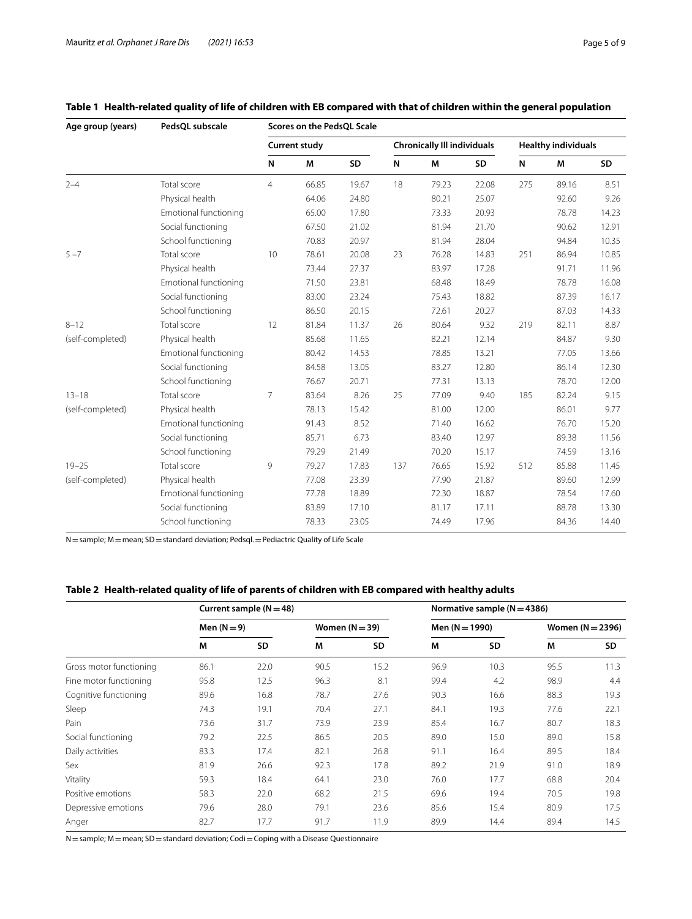| Age group (years) | PedsQL subscale              | <b>Scores on the PedsQL Scale</b> |       |       |                                    |       |       |                            |       |       |
|-------------------|------------------------------|-----------------------------------|-------|-------|------------------------------------|-------|-------|----------------------------|-------|-------|
|                   |                              | <b>Current study</b>              |       |       | <b>Chronically III individuals</b> |       |       | <b>Healthy individuals</b> |       |       |
|                   |                              | N                                 | M     | SD    | N                                  | M     | SD    | N                          | М     | SD    |
| $2 - 4$           | Total score                  | 4                                 | 66.85 | 19.67 | 18                                 | 79.23 | 22.08 | 275                        | 89.16 | 8.51  |
|                   | Physical health              |                                   | 64.06 | 24.80 |                                    | 80.21 | 25.07 |                            | 92.60 | 9.26  |
|                   | Emotional functioning        |                                   | 65.00 | 17.80 |                                    | 73.33 | 20.93 |                            | 78.78 | 14.23 |
|                   | Social functioning           |                                   | 67.50 | 21.02 |                                    | 81.94 | 21.70 |                            | 90.62 | 12.91 |
|                   | School functioning           |                                   | 70.83 | 20.97 |                                    | 81.94 | 28.04 |                            | 94.84 | 10.35 |
| $5 - 7$           | Total score                  | 10                                | 78.61 | 20.08 | 23                                 | 76.28 | 14.83 | 251                        | 86.94 | 10.85 |
|                   | Physical health              |                                   | 73.44 | 27.37 |                                    | 83.97 | 17.28 |                            | 91.71 | 11.96 |
|                   | <b>Emotional functioning</b> |                                   | 71.50 | 23.81 |                                    | 68.48 | 18.49 |                            | 78.78 | 16.08 |
|                   | Social functioning           |                                   | 83.00 | 23.24 |                                    | 75.43 | 18.82 |                            | 87.39 | 16.17 |
|                   | School functioning           |                                   | 86.50 | 20.15 |                                    | 72.61 | 20.27 |                            | 87.03 | 14.33 |
| $8 - 12$          | Total score                  | 12                                | 81.84 | 11.37 | 26                                 | 80.64 | 9.32  | 219                        | 82.11 | 8.87  |
| (self-completed)  | Physical health              |                                   | 85.68 | 11.65 |                                    | 82.21 | 12.14 |                            | 84.87 | 9.30  |
|                   | <b>Emotional functioning</b> |                                   | 80.42 | 14.53 |                                    | 78.85 | 13.21 |                            | 77.05 | 13.66 |
|                   | Social functioning           |                                   | 84.58 | 13.05 |                                    | 83.27 | 12.80 |                            | 86.14 | 12.30 |
|                   | School functioning           |                                   | 76.67 | 20.71 |                                    | 77.31 | 13.13 |                            | 78.70 | 12.00 |
| $13 - 18$         | Total score                  | 7                                 | 83.64 | 8.26  | 25                                 | 77.09 | 9.40  | 185                        | 82.24 | 9.15  |
| (self-completed)  | Physical health              |                                   | 78.13 | 15.42 |                                    | 81.00 | 12.00 |                            | 86.01 | 9.77  |
|                   | Emotional functioning        |                                   | 91.43 | 8.52  |                                    | 71.40 | 16.62 |                            | 76.70 | 15.20 |
|                   | Social functioning           |                                   | 85.71 | 6.73  |                                    | 83.40 | 12.97 |                            | 89.38 | 11.56 |
|                   | School functioning           |                                   | 79.29 | 21.49 |                                    | 70.20 | 15.17 |                            | 74.59 | 13.16 |
| $19 - 25$         | Total score                  | 9                                 | 79.27 | 17.83 | 137                                | 76.65 | 15.92 | 512                        | 85.88 | 11.45 |
| (self-completed)  | Physical health              |                                   | 77.08 | 23.39 |                                    | 77.90 | 21.87 |                            | 89.60 | 12.99 |
|                   | <b>Emotional functioning</b> |                                   | 77.78 | 18.89 |                                    | 72.30 | 18.87 |                            | 78.54 | 17.60 |
|                   | Social functioning           |                                   | 83.89 | 17.10 |                                    | 81.17 | 17.11 |                            | 88.78 | 13.30 |
|                   | School functioning           |                                   | 78.33 | 23.05 |                                    | 74.49 | 17.96 |                            | 84.36 | 14.40 |

# <span id="page-4-0"></span>**Table 1 Health-related quality of life of children with EB compared with that of children within the general population**

 $N$  = sample;  $M$  = mean; SD = standard deviation; Pedsql. = Pediactric Quality of Life Scale

# <span id="page-4-1"></span>**Table 2 Health-related quality of life of parents of children with EB compared with healthy adults**

|                         | Current sample $(N = 48)$ |           |                  |           | Normative sample $(N = 4386)$ |           |                    |           |
|-------------------------|---------------------------|-----------|------------------|-----------|-------------------------------|-----------|--------------------|-----------|
|                         | Men $(N=9)$               |           | Women $(N = 39)$ |           | Men $(N = 1990)$              |           | Women $(N = 2396)$ |           |
|                         | M                         | <b>SD</b> | M                | <b>SD</b> | M                             | <b>SD</b> | М                  | <b>SD</b> |
| Gross motor functioning | 86.1                      | 22.0      | 90.5             | 15.2      | 96.9                          | 10.3      | 95.5               | 11.3      |
| Fine motor functioning  | 95.8                      | 12.5      | 96.3             | 8.1       | 99.4                          | 4.2       | 98.9               | 4.4       |
| Cognitive functioning   | 89.6                      | 16.8      | 78.7             | 27.6      | 90.3                          | 16.6      | 88.3               | 19.3      |
| Sleep                   | 74.3                      | 19.1      | 70.4             | 27.1      | 84.1                          | 19.3      | 77.6               | 22.1      |
| Pain                    | 73.6                      | 31.7      | 73.9             | 23.9      | 85.4                          | 16.7      | 80.7               | 18.3      |
| Social functioning      | 79.2                      | 22.5      | 86.5             | 20.5      | 89.0                          | 15.0      | 89.0               | 15.8      |
| Daily activities        | 83.3                      | 17.4      | 82.1             | 26.8      | 91.1                          | 16.4      | 89.5               | 18.4      |
| Sex                     | 81.9                      | 26.6      | 92.3             | 17.8      | 89.2                          | 21.9      | 91.0               | 18.9      |
| Vitality                | 59.3                      | 18.4      | 64.1             | 23.0      | 76.0                          | 17.7      | 68.8               | 20.4      |
| Positive emotions       | 58.3                      | 22.0      | 68.2             | 21.5      | 69.6                          | 19.4      | 70.5               | 19.8      |
| Depressive emotions     | 79.6                      | 28.0      | 79.1             | 23.6      | 85.6                          | 15.4      | 80.9               | 17.5      |
| Anger                   | 82.7                      | 17.7      | 91.7             | 11.9      | 89.9                          | 14.4      | 89.4               | 14.5      |

N = sample; M = mean; SD = standard deviation; Codi = Coping with a Disease Questionnaire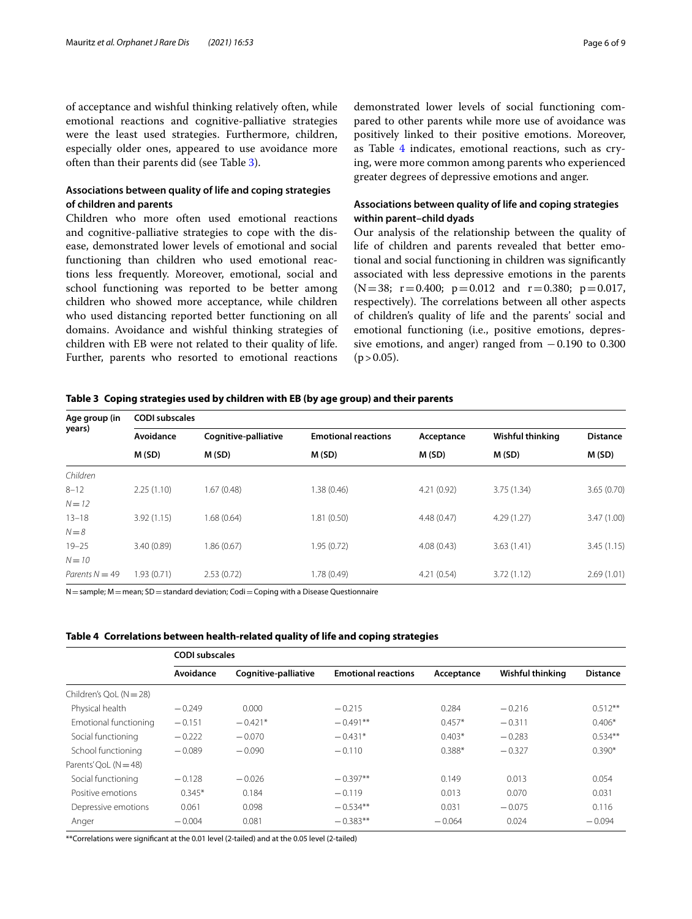of acceptance and wishful thinking relatively often, while emotional reactions and cognitive-palliative strategies were the least used strategies. Furthermore, children, especially older ones, appeared to use avoidance more often than their parents did (see Table [3\)](#page-5-0).

# **Associations between quality of life and coping strategies of children and parents**

Children who more often used emotional reactions and cognitive-palliative strategies to cope with the disease, demonstrated lower levels of emotional and social functioning than children who used emotional reactions less frequently. Moreover, emotional, social and school functioning was reported to be better among children who showed more acceptance, while children who used distancing reported better functioning on all domains. Avoidance and wishful thinking strategies of children with EB were not related to their quality of life. Further, parents who resorted to emotional reactions

demonstrated lower levels of social functioning compared to other parents while more use of avoidance was positively linked to their positive emotions. Moreover, as Table [4](#page-5-1) indicates, emotional reactions, such as crying, were more common among parents who experienced greater degrees of depressive emotions and anger.

# **Associations between quality of life and coping strategies within parent–child dyads**

Our analysis of the relationship between the quality of life of children and parents revealed that better emotional and social functioning in children was signifcantly associated with less depressive emotions in the parents  $(N=38; r=0.400; p=0.012$  and  $r=0.380; p=0.017$ , respectively). The correlations between all other aspects of children's quality of life and the parents' social and emotional functioning (i.e., positive emotions, depressive emotions, and anger) ranged from  $-0.190$  to 0.300  $(p>0.05)$ .

## <span id="page-5-0"></span>**Table 3 Coping strategies used by children with EB (by age group) and their parents**

| Age group (in<br>years) | <b>CODI</b> subscales |                      |                            |            |                  |                 |  |  |  |  |
|-------------------------|-----------------------|----------------------|----------------------------|------------|------------------|-----------------|--|--|--|--|
|                         | Avoidance             | Cognitive-palliative | <b>Emotional reactions</b> | Acceptance | Wishful thinking | <b>Distance</b> |  |  |  |  |
|                         | M(SD)                 | M(SD)                | M(SD)                      | M(SD)      | M (SD)           | M(SD)           |  |  |  |  |
| Children                |                       |                      |                            |            |                  |                 |  |  |  |  |
| $8 - 12$                | 2.25(1.10)            | 1.67(0.48)           | 1.38 (0.46)                | 4.21(0.92) | 3.75 (1.34)      | 3.65(0.70)      |  |  |  |  |
| $N = 12$                |                       |                      |                            |            |                  |                 |  |  |  |  |
| $13 - 18$               | 3.92(1.15)            | 1.68 (0.64)          | 1.81(0.50)                 | 4.48(0.47) | 4.29(1.27)       | 3.47(1.00)      |  |  |  |  |
| $N = 8$                 |                       |                      |                            |            |                  |                 |  |  |  |  |
| $19 - 25$               | 3.40 (0.89)           | 1.86 (0.67)          | 1.95(0.72)                 | 4.08(0.43) | 3.63(1.41)       | 3.45(1.15)      |  |  |  |  |
| $N = 10$                |                       |                      |                            |            |                  |                 |  |  |  |  |
| Parents $N = 49$        | 1.93(0.71)            | 2.53(0.72)           | 1.78 (0.49)                | 4.21(0.54) | 3.72(1.12)       | 2.69(1.01)      |  |  |  |  |

 $N$  = sample;  $M$  = mean; SD = standard deviation; Codi = Coping with a Disease Questionnaire

<span id="page-5-1"></span>**Table 4 Correlations between health-related quality of life and coping strategies**

|                           | <b>CODI</b> subscales |                      |                            |            |                  |                 |  |  |  |
|---------------------------|-----------------------|----------------------|----------------------------|------------|------------------|-----------------|--|--|--|
|                           | Avoidance             | Cognitive-palliative | <b>Emotional reactions</b> | Acceptance | Wishful thinking | <b>Distance</b> |  |  |  |
| Children's QoL $(N = 28)$ |                       |                      |                            |            |                  |                 |  |  |  |
| Physical health           | $-0.249$              | 0.000                | $-0.215$                   | 0.284      | $-0.216$         | $0.512**$       |  |  |  |
| Emotional functioning     | $-0.151$              | $-0.421*$            | $-0.491**$                 | $0.457*$   | $-0.311$         | $0.406*$        |  |  |  |
| Social functioning        | $-0.222$              | $-0.070$             | $-0.431*$                  | $0.403*$   | $-0.283$         | $0.534**$       |  |  |  |
| School functioning        | $-0.089$              | $-0.090$             | $-0.110$                   | $0.388*$   | $-0.327$         | $0.390*$        |  |  |  |
| Parents' QoL (N = 48)     |                       |                      |                            |            |                  |                 |  |  |  |
| Social functioning        | $-0.128$              | $-0.026$             | $-0.397**$                 | 0.149      | 0.013            | 0.054           |  |  |  |
| Positive emotions         | $0.345*$              | 0.184                | $-0.119$                   | 0.013      | 0.070            | 0.031           |  |  |  |
| Depressive emotions       | 0.061                 | 0.098                | $-0.534**$                 | 0.031      | $-0.075$         | 0.116           |  |  |  |
| Anger                     | $-0.004$              | 0.081                | $-0.383**$                 | $-0.064$   | 0.024            | $-0.094$        |  |  |  |

\*\*Correlations were signifcant at the 0.01 level (2-tailed) and at the 0.05 level (2-tailed)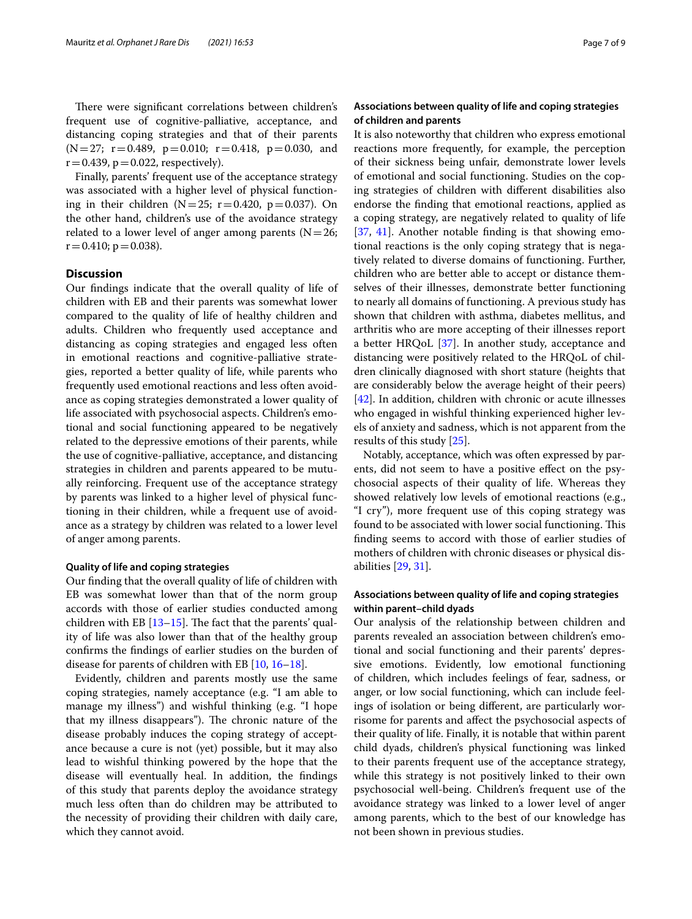There were significant correlations between children's frequent use of cognitive-palliative, acceptance, and distancing coping strategies and that of their parents  $(N=27; r=0.489, p=0.010; r=0.418, p=0.030, and$  $r=0.439$ ,  $p=0.022$ , respectively).

Finally, parents' frequent use of the acceptance strategy was associated with a higher level of physical functioning in their children (N=25; r=0.420, p=0.037). On the other hand, children's use of the avoidance strategy related to a lower level of anger among parents ( $N=26$ ;  $r=0.410; p=0.038$ .

## **Discussion**

Our fndings indicate that the overall quality of life of children with EB and their parents was somewhat lower compared to the quality of life of healthy children and adults. Children who frequently used acceptance and distancing as coping strategies and engaged less often in emotional reactions and cognitive-palliative strategies, reported a better quality of life, while parents who frequently used emotional reactions and less often avoidance as coping strategies demonstrated a lower quality of life associated with psychosocial aspects. Children's emotional and social functioning appeared to be negatively related to the depressive emotions of their parents, while the use of cognitive-palliative, acceptance, and distancing strategies in children and parents appeared to be mutually reinforcing. Frequent use of the acceptance strategy by parents was linked to a higher level of physical functioning in their children, while a frequent use of avoidance as a strategy by children was related to a lower level of anger among parents.

#### **Quality of life and coping strategies**

Our fnding that the overall quality of life of children with EB was somewhat lower than that of the norm group accords with those of earlier studies conducted among children with EB  $[13-15]$  $[13-15]$ . The fact that the parents' quality of life was also lower than that of the healthy group confrms the fndings of earlier studies on the burden of disease for parents of children with EB [\[10](#page-8-3), [16](#page-8-4)[–18](#page-8-5)].

Evidently, children and parents mostly use the same coping strategies, namely acceptance (e.g. "I am able to manage my illness") and wishful thinking (e.g. "I hope that my illness disappears"). The chronic nature of the disease probably induces the coping strategy of acceptance because a cure is not (yet) possible, but it may also lead to wishful thinking powered by the hope that the disease will eventually heal. In addition, the fndings of this study that parents deploy the avoidance strategy much less often than do children may be attributed to the necessity of providing their children with daily care, which they cannot avoid.

# **Associations between quality of life and coping strategies of children and parents**

It is also noteworthy that children who express emotional reactions more frequently, for example, the perception of their sickness being unfair, demonstrate lower levels of emotional and social functioning. Studies on the coping strategies of children with diferent disabilities also endorse the fnding that emotional reactions, applied as a coping strategy, are negatively related to quality of life [[37,](#page-8-22) [41\]](#page-8-26). Another notable finding is that showing emotional reactions is the only coping strategy that is negatively related to diverse domains of functioning. Further, children who are better able to accept or distance themselves of their illnesses, demonstrate better functioning to nearly all domains of functioning. A previous study has shown that children with asthma, diabetes mellitus, and arthritis who are more accepting of their illnesses report a better HRQoL [\[37\]](#page-8-22). In another study, acceptance and distancing were positively related to the HRQoL of children clinically diagnosed with short stature (heights that are considerably below the average height of their peers) [[42\]](#page-8-27). In addition, children with chronic or acute illnesses who engaged in wishful thinking experienced higher levels of anxiety and sadness, which is not apparent from the results of this study [\[25](#page-8-12)].

Notably, acceptance, which was often expressed by parents, did not seem to have a positive effect on the psychosocial aspects of their quality of life. Whereas they showed relatively low levels of emotional reactions (e.g., "I cry"), more frequent use of this coping strategy was found to be associated with lower social functioning. This fnding seems to accord with those of earlier studies of mothers of children with chronic diseases or physical disabilities [[29,](#page-8-16) [31\]](#page-8-17).

# **Associations between quality of life and coping strategies within parent–child dyads**

Our analysis of the relationship between children and parents revealed an association between children's emotional and social functioning and their parents' depressive emotions. Evidently, low emotional functioning of children, which includes feelings of fear, sadness, or anger, or low social functioning, which can include feelings of isolation or being diferent, are particularly worrisome for parents and afect the psychosocial aspects of their quality of life. Finally, it is notable that within parent child dyads, children's physical functioning was linked to their parents frequent use of the acceptance strategy, while this strategy is not positively linked to their own psychosocial well-being. Children's frequent use of the avoidance strategy was linked to a lower level of anger among parents, which to the best of our knowledge has not been shown in previous studies.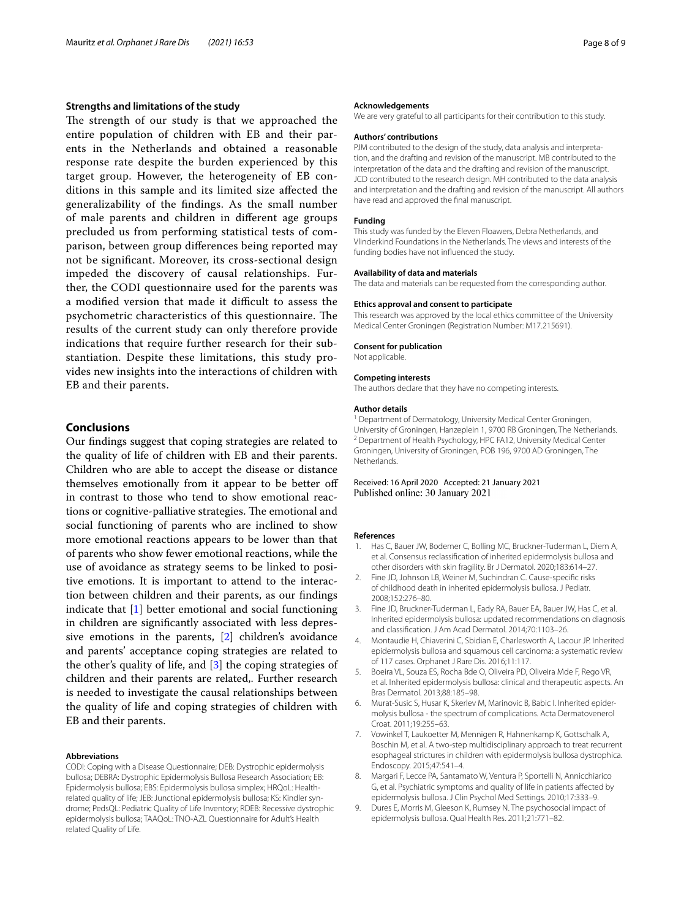## **Strengths and limitations of the study**

The strength of our study is that we approached the entire population of children with EB and their parents in the Netherlands and obtained a reasonable response rate despite the burden experienced by this target group. However, the heterogeneity of EB conditions in this sample and its limited size afected the generalizability of the fndings. As the small number of male parents and children in diferent age groups precluded us from performing statistical tests of comparison, between group diferences being reported may not be signifcant. Moreover, its cross-sectional design impeded the discovery of causal relationships. Further, the CODI questionnaire used for the parents was a modified version that made it difficult to assess the psychometric characteristics of this questionnaire. The results of the current study can only therefore provide indications that require further research for their substantiation. Despite these limitations, this study provides new insights into the interactions of children with EB and their parents.

# **Conclusions**

Our fndings suggest that coping strategies are related to the quality of life of children with EB and their parents. Children who are able to accept the disease or distance themselves emotionally from it appear to be better of in contrast to those who tend to show emotional reactions or cognitive-palliative strategies. The emotional and social functioning of parents who are inclined to show more emotional reactions appears to be lower than that of parents who show fewer emotional reactions, while the use of avoidance as strategy seems to be linked to positive emotions. It is important to attend to the interaction between children and their parents, as our fndings indicate that [[1\]](#page-7-0) better emotional and social functioning in children are signifcantly associated with less depressive emotions in the parents, [[2\]](#page-7-1) children's avoidance and parents' acceptance coping strategies are related to the other's quality of life, and [[3\]](#page-7-2) the coping strategies of children and their parents are related,. Further research is needed to investigate the causal relationships between the quality of life and coping strategies of children with EB and their parents.

#### **Abbreviations**

CODI: Coping with a Disease Questionnaire; DEB: Dystrophic epidermolysis bullosa; DEBRA: Dystrophic Epidermolysis Bullosa Research Association; EB: Epidermolysis bullosa; EBS: Epidermolysis bullosa simplex; HRQoL: Healthrelated quality of life; JEB: Junctional epidermolysis bullosa; KS: Kindler syndrome; PedsQL: Pediatric Quality of Life Inventory; RDEB: Recessive dystrophic epidermolysis bullosa; TAAQoL: TNO-AZL Questionnaire for Adult's Health related Quality of Life.

#### **Acknowledgements**

We are very grateful to all participants for their contribution to this study.

#### **Authors' contributions**

PJM contributed to the design of the study, data analysis and interpretation, and the drafting and revision of the manuscript. MB contributed to the interpretation of the data and the drafting and revision of the manuscript. JCD contributed to the research design. MH contributed to the data analysis and interpretation and the drafting and revision of the manuscript. All authors have read and approved the fnal manuscript.

#### **Funding**

This study was funded by the Eleven Floawers, Debra Netherlands, and Vlinderkind Foundations in the Netherlands. The views and interests of the funding bodies have not infuenced the study.

#### **Availability of data and materials**

The data and materials can be requested from the corresponding author.

#### **Ethics approval and consent to participate**

This research was approved by the local ethics committee of the University Medical Center Groningen (Registration Number: M17.215691).

#### **Consent for publication**

Not applicable.

#### **Competing interests**

The authors declare that they have no competing interests.

#### **Author details**

<sup>1</sup> Department of Dermatology, University Medical Center Groningen, University of Groningen, Hanzeplein 1, 9700 RB Groningen, The Netherlands.<br><sup>2</sup> Department of Health Psychology, HPC FA12, University Medical Center Groningen, University of Groningen, POB 196, 9700 AD Groningen, The Netherlands.

#### Received: 16 April 2020 Accepted: 21 January 2021 Published online: 30 January 2021

#### **References**

- <span id="page-7-0"></span>1. Has C, Bauer JW, Bodemer C, Bolling MC, Bruckner-Tuderman L, Diem A, et al. Consensus reclassifcation of inherited epidermolysis bullosa and other disorders with skin fragility. Br J Dermatol. 2020;183:614–27.
- <span id="page-7-1"></span>2. Fine JD, Johnson LB, Weiner M, Suchindran C. Cause-specifc risks of childhood death in inherited epidermolysis bullosa. J Pediatr. 2008;152:276–80.
- <span id="page-7-2"></span>3. Fine JD, Bruckner-Tuderman L, Eady RA, Bauer EA, Bauer JW, Has C, et al. Inherited epidermolysis bullosa: updated recommendations on diagnosis and classifcation. J Am Acad Dermatol. 2014;70:1103–26.
- 4. Montaudie H, Chiaverini C, Sbidian E, Charlesworth A, Lacour JP. Inherited epidermolysis bullosa and squamous cell carcinoma: a systematic review of 117 cases. Orphanet J Rare Dis. 2016;11:117.
- 5. Boeira VL, Souza ES, Rocha Bde O, Oliveira PD, Oliveira Mde F, Rego VR, et al. Inherited epidermolysis bullosa: clinical and therapeutic aspects. An Bras Dermatol. 2013;88:185–98.
- Murat-Susic S, Husar K, Skerlev M, Marinovic B, Babic I. Inherited epidermolysis bullosa - the spectrum of complications. Acta Dermatovenerol Croat. 2011;19:255–63.
- <span id="page-7-3"></span>7. Vowinkel T, Laukoetter M, Mennigen R, Hahnenkamp K, Gottschalk A, Boschin M, et al. A two-step multidisciplinary approach to treat recurrent esophageal strictures in children with epidermolysis bullosa dystrophica. Endoscopy. 2015;47:541–4.
- <span id="page-7-4"></span>8. Margari F, Lecce PA, Santamato W, Ventura P, Sportelli N, Annicchiarico G, et al. Psychiatric symptoms and quality of life in patients afected by epidermolysis bullosa. J Clin Psychol Med Settings. 2010;17:333–9.
- 9. Dures E, Morris M, Gleeson K, Rumsey N. The psychosocial impact of epidermolysis bullosa. Qual Health Res. 2011;21:771–82.